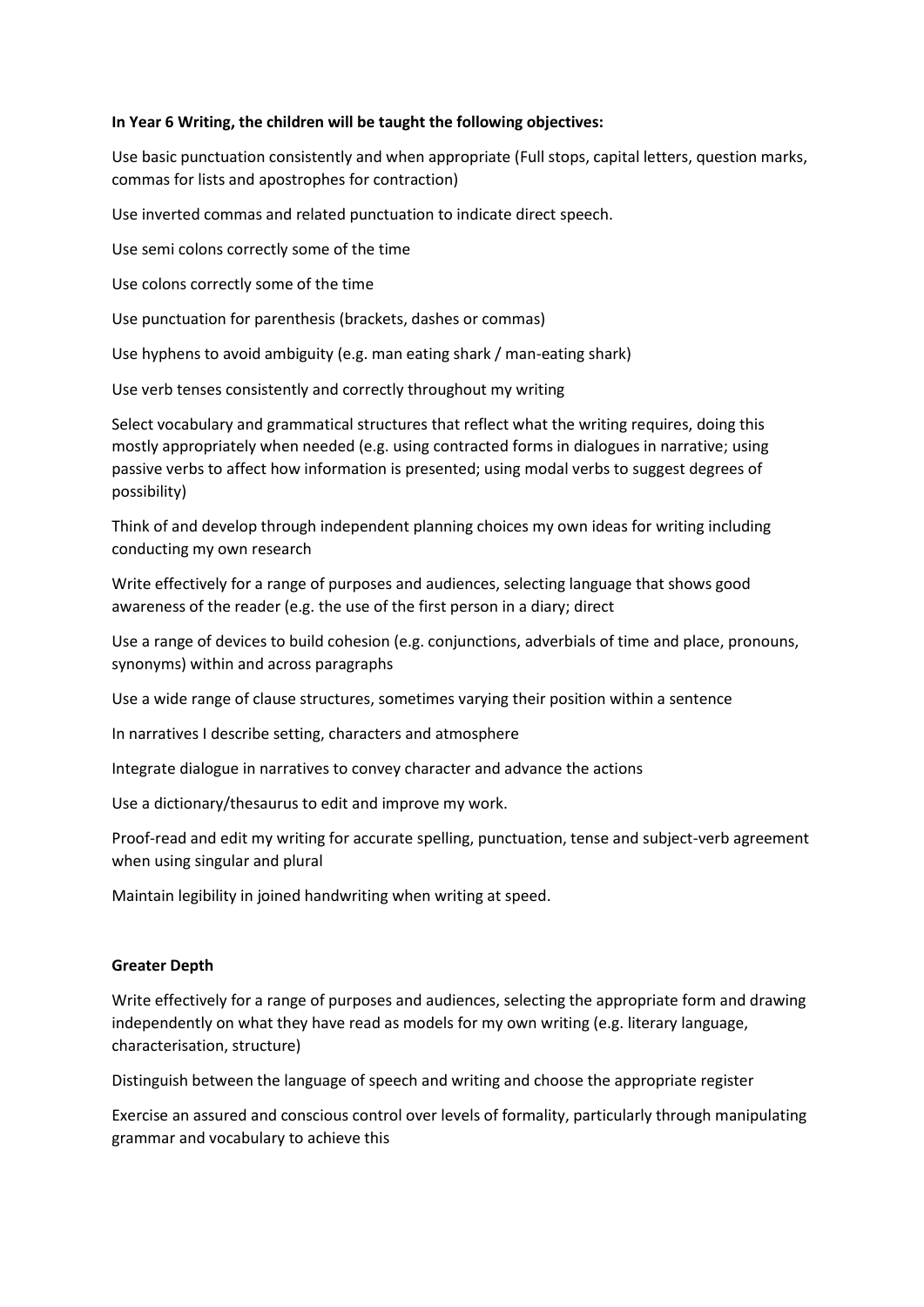## **In Year 6 Writing, the children will be taught the following objectives:**

Use basic punctuation consistently and when appropriate (Full stops, capital letters, question marks, commas for lists and apostrophes for contraction)

Use inverted commas and related punctuation to indicate direct speech.

Use semi colons correctly some of the time

Use colons correctly some of the time

Use punctuation for parenthesis (brackets, dashes or commas)

Use hyphens to avoid ambiguity (e.g. man eating shark / man-eating shark)

Use verb tenses consistently and correctly throughout my writing

Select vocabulary and grammatical structures that reflect what the writing requires, doing this mostly appropriately when needed (e.g. using contracted forms in dialogues in narrative; using passive verbs to affect how information is presented; using modal verbs to suggest degrees of possibility)

Think of and develop through independent planning choices my own ideas for writing including conducting my own research

Write effectively for a range of purposes and audiences, selecting language that shows good awareness of the reader (e.g. the use of the first person in a diary; direct

Use a range of devices to build cohesion (e.g. conjunctions, adverbials of time and place, pronouns, synonyms) within and across paragraphs

Use a wide range of clause structures, sometimes varying their position within a sentence

In narratives I describe setting, characters and atmosphere

Integrate dialogue in narratives to convey character and advance the actions

Use a dictionary/thesaurus to edit and improve my work.

Proof-read and edit my writing for accurate spelling, punctuation, tense and subject-verb agreement when using singular and plural

Maintain legibility in joined handwriting when writing at speed.

## **Greater Depth**

Write effectively for a range of purposes and audiences, selecting the appropriate form and drawing independently on what they have read as models for my own writing (e.g. literary language, characterisation, structure)

Distinguish between the language of speech and writing and choose the appropriate register

Exercise an assured and conscious control over levels of formality, particularly through manipulating grammar and vocabulary to achieve this